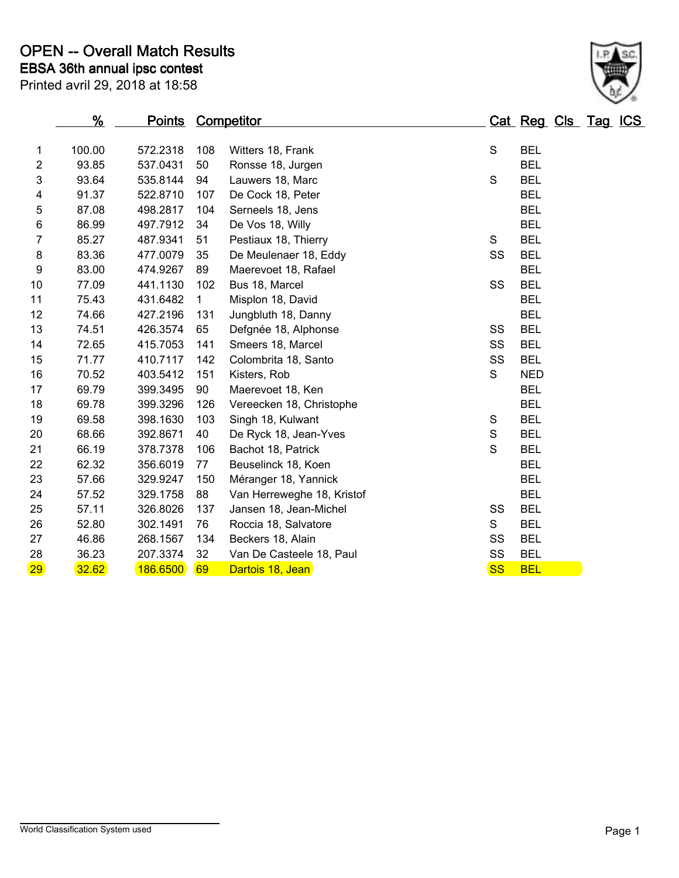|                 | %      | <b>Points Competitor</b> |              |                            |             | Cat Reg Cls Tag ICS |  |  |
|-----------------|--------|--------------------------|--------------|----------------------------|-------------|---------------------|--|--|
| 1               | 100.00 | 572.2318                 | 108          | Witters 18, Frank          | $\mathsf S$ | <b>BEL</b>          |  |  |
| 2               | 93.85  | 537.0431                 | 50           | Ronsse 18, Jurgen          |             | <b>BEL</b>          |  |  |
| 3               | 93.64  | 535.8144                 | 94           | Lauwers 18, Marc           | $\mathsf S$ | <b>BEL</b>          |  |  |
| 4               | 91.37  | 522.8710                 | 107          | De Cock 18, Peter          |             | <b>BEL</b>          |  |  |
| 5               | 87.08  | 498.2817                 | 104          | Serneels 18, Jens          |             | <b>BEL</b>          |  |  |
| 6               | 86.99  | 497.7912                 | 34           | De Vos 18, Willy           |             | <b>BEL</b>          |  |  |
| 7               | 85.27  | 487.9341                 | 51           | Pestiaux 18, Thierry       | S           | <b>BEL</b>          |  |  |
| 8               | 83.36  | 477.0079                 | 35           | De Meulenaer 18, Eddy      | SS          | <b>BEL</b>          |  |  |
| 9               | 83.00  | 474.9267                 | 89           | Maerevoet 18, Rafael       |             | <b>BEL</b>          |  |  |
| 10              | 77.09  | 441.1130                 | 102          | Bus 18, Marcel             | SS          | <b>BEL</b>          |  |  |
| 11              | 75.43  | 431.6482                 | $\mathbf{1}$ | Misplon 18, David          |             | <b>BEL</b>          |  |  |
| 12              | 74.66  | 427.2196                 | 131          | Jungbluth 18, Danny        |             | <b>BEL</b>          |  |  |
| 13              | 74.51  | 426.3574                 | 65           | Defgnée 18, Alphonse       | SS          | <b>BEL</b>          |  |  |
| 14              | 72.65  | 415.7053                 | 141          | Smeers 18, Marcel          | SS          | <b>BEL</b>          |  |  |
| 15              | 71.77  | 410.7117                 | 142          | Colombrita 18, Santo       | SS          | <b>BEL</b>          |  |  |
| 16              | 70.52  | 403.5412                 | 151          | Kisters, Rob               | S           | <b>NED</b>          |  |  |
| 17              | 69.79  | 399.3495                 | 90           | Maerevoet 18, Ken          |             | <b>BEL</b>          |  |  |
| 18              | 69.78  | 399.3296                 | 126          | Vereecken 18, Christophe   |             | <b>BEL</b>          |  |  |
| 19              | 69.58  | 398.1630                 | 103          | Singh 18, Kulwant          | $\mathsf S$ | <b>BEL</b>          |  |  |
| 20              | 68.66  | 392.8671                 | 40           | De Ryck 18, Jean-Yves      | $\mathbf S$ | <b>BEL</b>          |  |  |
| 21              | 66.19  | 378.7378                 | 106          | Bachot 18, Patrick         | S           | <b>BEL</b>          |  |  |
| 22              | 62.32  | 356.6019                 | 77           | Beuselinck 18, Koen        |             | <b>BEL</b>          |  |  |
| 23              | 57.66  | 329.9247                 | 150          | Méranger 18, Yannick       |             | <b>BEL</b>          |  |  |
| 24              | 57.52  | 329.1758                 | 88           | Van Herreweghe 18, Kristof |             | <b>BEL</b>          |  |  |
| 25              | 57.11  | 326.8026                 | 137          | Jansen 18, Jean-Michel     | SS          | <b>BEL</b>          |  |  |
| 26              | 52.80  | 302.1491                 | 76           | Roccia 18, Salvatore       | S           | <b>BEL</b>          |  |  |
| 27              | 46.86  | 268.1567                 | 134          | Beckers 18, Alain          | SS          | <b>BEL</b>          |  |  |
| 28              | 36.23  | 207.3374                 | 32           | Van De Casteele 18, Paul   | SS          | <b>BEL</b>          |  |  |
| 29 <sub>2</sub> | 32.62  | 186.6500                 | 69           | Dartois 18, Jean           | <b>SS</b>   | <b>BEL</b>          |  |  |

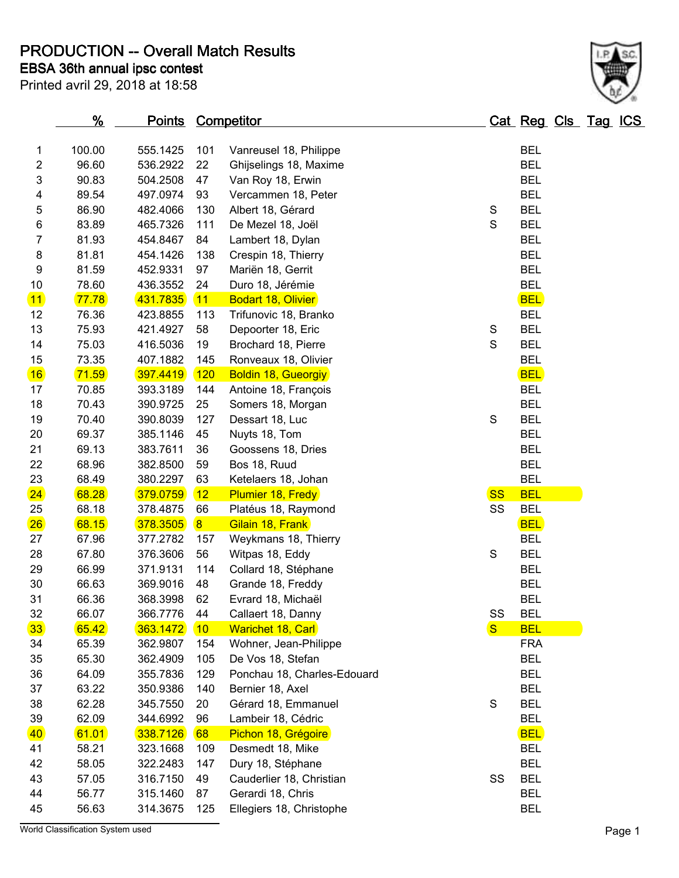**PRODUCTION -- Overall Match Results**

**EBSA 36th annual ipsc contest**

| Printed avril 29, 2018 at 18:58 |  |  |  |  |
|---------------------------------|--|--|--|--|
|---------------------------------|--|--|--|--|

| 1                | 100.00 | 555.1425 | 101 | Vanreusel 18, Philippe      |              | <b>BEL</b> |  |
|------------------|--------|----------|-----|-----------------------------|--------------|------------|--|
| 2                | 96.60  | 536.2922 | 22  | Ghijselings 18, Maxime      |              | <b>BEL</b> |  |
| 3                | 90.83  | 504.2508 | 47  | Van Roy 18, Erwin           |              | <b>BEL</b> |  |
| 4                | 89.54  | 497.0974 | 93  | Vercammen 18, Peter         |              | <b>BEL</b> |  |
| $\mathbf 5$      | 86.90  | 482.4066 | 130 | Albert 18, Gérard           | $\mathbf S$  | <b>BEL</b> |  |
| 6                | 83.89  | 465.7326 | 111 | De Mezel 18, Joël           | S            | <b>BEL</b> |  |
| $\boldsymbol{7}$ | 81.93  | 454.8467 | 84  | Lambert 18, Dylan           |              | <b>BEL</b> |  |
| 8                | 81.81  | 454.1426 | 138 | Crespin 18, Thierry         |              | <b>BEL</b> |  |
| 9                | 81.59  | 452.9331 | 97  | Mariën 18, Gerrit           |              | <b>BEL</b> |  |
| 10               | 78.60  | 436.3552 | 24  | Duro 18, Jérémie            |              | <b>BEL</b> |  |
| $\boxed{11}$     | 77.78  | 431.7835 | 11  | <b>Bodart 18, Olivier</b>   |              | <b>BEL</b> |  |
| 12               | 76.36  | 423.8855 | 113 | Trifunovic 18, Branko       |              | <b>BEL</b> |  |
| 13               | 75.93  | 421.4927 | 58  | Depoorter 18, Eric          | S            | <b>BEL</b> |  |
| 14               | 75.03  | 416.5036 | 19  | Brochard 18, Pierre         | S            | <b>BEL</b> |  |
| 15               | 73.35  | 407.1882 | 145 | Ronveaux 18, Olivier        |              | <b>BEL</b> |  |
| 16               | 71.59  | 397.4419 | 120 | <b>Boldin 18, Gueorgiy</b>  |              | <b>BEL</b> |  |
| 17               | 70.85  | 393.3189 | 144 | Antoine 18, François        |              | <b>BEL</b> |  |
| 18               | 70.43  | 390.9725 | 25  | Somers 18, Morgan           |              | <b>BEL</b> |  |
| 19               | 70.40  | 390.8039 | 127 | Dessart 18, Luc             | $\mathbf S$  | <b>BEL</b> |  |
| 20               | 69.37  | 385.1146 | 45  | Nuyts 18, Tom               |              | <b>BEL</b> |  |
| 21               | 69.13  | 383.7611 | 36  | Goossens 18, Dries          |              | <b>BEL</b> |  |
| 22               | 68.96  | 382.8500 | 59  | Bos 18, Ruud                |              | <b>BEL</b> |  |
|                  |        |          |     |                             |              |            |  |
| 23               | 68.49  | 380.2297 | 63  | Ketelaers 18, Johan         |              | <b>BEL</b> |  |
| 24               | 68.28  | 379.0759 | 12  | <b>Plumier 18, Fredy</b>    | <b>SS</b>    | <b>BEL</b> |  |
| 25               | 68.18  | 378.4875 | 66  | Platéus 18, Raymond         | SS           | <b>BEL</b> |  |
| 26               | 68.15  | 378.3505 | 8   | Gilain 18, Frank            |              | <b>BEL</b> |  |
| 27               | 67.96  | 377.2782 | 157 | Weykmans 18, Thierry        |              | <b>BEL</b> |  |
| 28               | 67.80  | 376.3606 | 56  | Witpas 18, Eddy             | S            | <b>BEL</b> |  |
| 29               | 66.99  | 371.9131 | 114 | Collard 18, Stéphane        |              | <b>BEL</b> |  |
| 30               | 66.63  | 369.9016 | 48  | Grande 18, Freddy           |              | <b>BEL</b> |  |
| 31               | 66.36  | 368.3998 | 62  | Evrard 18, Michaël          |              | <b>BEL</b> |  |
| 32               | 66.07  | 366.7776 | 44  | Callaert 18, Danny          | SS           | <b>BEL</b> |  |
| 33 <sup>°</sup>  | 65.42  | 363.1472 | 10  | <b>Warichet 18, Carl</b>    | $\mathbf{s}$ | <b>BEL</b> |  |
| 34               | 65.39  | 362.9807 | 154 | Wohner, Jean-Philippe       |              | <b>FRA</b> |  |
| 35               | 65.30  | 362.4909 | 105 | De Vos 18, Stefan           |              | <b>BEL</b> |  |
| 36               | 64.09  | 355.7836 | 129 | Ponchau 18, Charles-Edouard |              | <b>BEL</b> |  |
| 37               | 63.22  | 350.9386 | 140 | Bernier 18, Axel            |              | <b>BEL</b> |  |
| 38               | 62.28  | 345.7550 | 20  | Gérard 18, Emmanuel         | S            | <b>BEL</b> |  |
| 39               | 62.09  | 344.6992 | 96  | Lambeir 18, Cédric          |              | <b>BEL</b> |  |
| 40               | 61.01  | 338.7126 | 68  | Pichon 18, Grégoire         |              | <b>BEL</b> |  |
| 41               | 58.21  | 323.1668 | 109 | Desmedt 18, Mike            |              | <b>BEL</b> |  |
| 42               | 58.05  | 322.2483 | 147 | Dury 18, Stéphane           |              | <b>BEL</b> |  |
| 43               | 57.05  | 316.7150 | 49  | Cauderlier 18, Christian    | SS           | <b>BEL</b> |  |
| 44               | 56.77  | 315.1460 | 87  | Gerardi 18, Chris           |              | <b>BEL</b> |  |
| 45               | 56.63  | 314.3675 | 125 | Ellegiers 18, Christophe    |              | <b>BEL</b> |  |

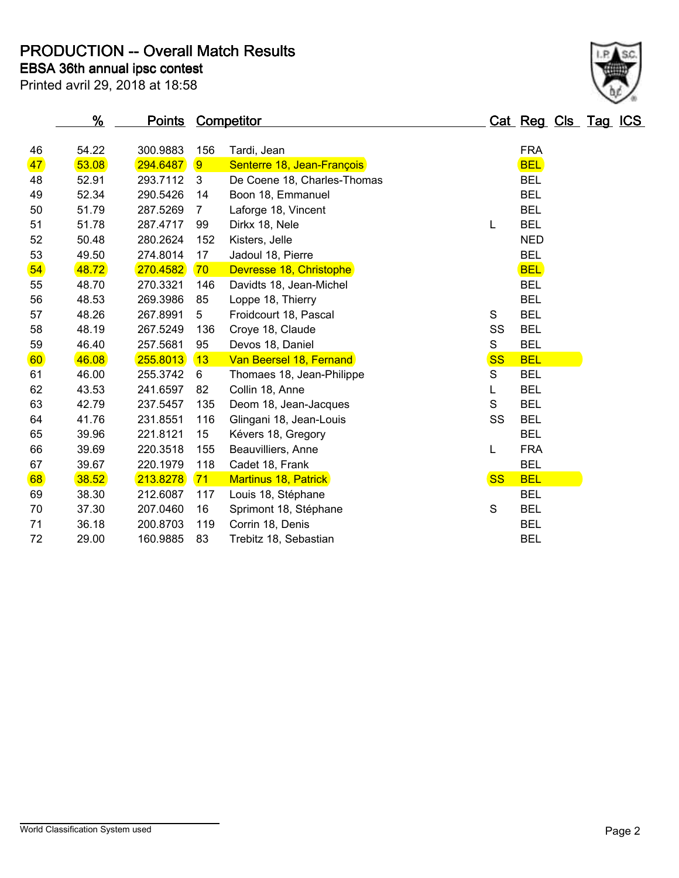**PRODUCTION -- Overall Match Results**

**EBSA 36th annual ipsc contest**

| Printed avril 29, 2018 at 18:58 |  |  |  |
|---------------------------------|--|--|--|

| 46              | 54.22 | 300.9883 | 156 | Tardi, Jean                 |           | <b>FRA</b> |
|-----------------|-------|----------|-----|-----------------------------|-----------|------------|
| 47              | 53.08 | 294.6487 | 9   | Senterre 18, Jean-François  |           | <b>BEL</b> |
| 48              | 52.91 | 293.7112 | 3   | De Coene 18, Charles-Thomas |           | <b>BEL</b> |
| 49              | 52.34 | 290.5426 | 14  | Boon 18, Emmanuel           |           | <b>BEL</b> |
| 50              | 51.79 | 287.5269 | 7   | Laforge 18, Vincent         |           | <b>BEL</b> |
| 51              | 51.78 | 287.4717 | 99  | Dirkx 18, Nele              | L         | <b>BEL</b> |
| 52              | 50.48 | 280.2624 | 152 | Kisters, Jelle              |           | <b>NED</b> |
| 53              | 49.50 | 274.8014 | 17  | Jadoul 18, Pierre           |           | <b>BEL</b> |
| 54              | 48.72 | 270.4582 | 70  | Devresse 18, Christophe     |           | <b>BEL</b> |
| 55              | 48.70 | 270.3321 | 146 | Davidts 18, Jean-Michel     |           | <b>BEL</b> |
| 56              | 48.53 | 269.3986 | 85  | Loppe 18, Thierry           |           | <b>BEL</b> |
| 57              | 48.26 | 267.8991 | 5   | Froidcourt 18, Pascal       | S         | <b>BEL</b> |
| 58              | 48.19 | 267.5249 | 136 | Croye 18, Claude            | SS        | <b>BEL</b> |
| 59              | 46.40 | 257.5681 | 95  | Devos 18, Daniel            | S         | <b>BEL</b> |
| 60 <sub>2</sub> | 46.08 | 255.8013 | 13  | Van Beersel 18, Fernand     | <b>SS</b> | <b>BEL</b> |
| 61              | 46.00 | 255.3742 | 6   | Thomaes 18, Jean-Philippe   | S         | <b>BEL</b> |
| 62              | 43.53 | 241.6597 | 82  | Collin 18, Anne             | L         | <b>BEL</b> |
| 63              | 42.79 | 237.5457 | 135 | Deom 18, Jean-Jacques       | S         | <b>BEL</b> |
| 64              | 41.76 | 231.8551 | 116 | Glingani 18, Jean-Louis     | SS        | <b>BEL</b> |
| 65              | 39.96 | 221.8121 | 15  | Kévers 18, Gregory          |           | <b>BEL</b> |
| 66              | 39.69 | 220.3518 | 155 | Beauvilliers, Anne          |           | <b>FRA</b> |
| 67              | 39.67 | 220.1979 | 118 | Cadet 18, Frank             |           | <b>BEL</b> |

<mark>68 38.52 213.8278 71 Martinus 18, Patrick</mark> SS BEL 38.30 212.6087 117 Louis 18, Stéphane BEL 37.30 207.0460 16 Sprimont 18, Stéphane S BEL 36.18 200.8703 119 Corrin 18, Denis BEL 29.00 160.9885 83 Trebitz 18, Sebastian BEL

| %              | <b>Points Competitor</b> |                          |         | Cat Reg Cls Tag ICS |  |
|----------------|--------------------------|--------------------------|---------|---------------------|--|
| .22            |                          | 300.9883 156 Tardi, Jean | FRA     |                     |  |
| $\overline{a}$ |                          |                          | $m - i$ |                     |  |